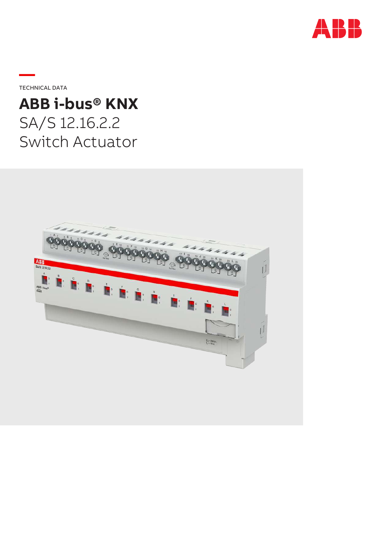

**—**TECHNICAL DATA

# **ABB i-bus® KNX** SA/S 12.16.2.2 Switch Actuator

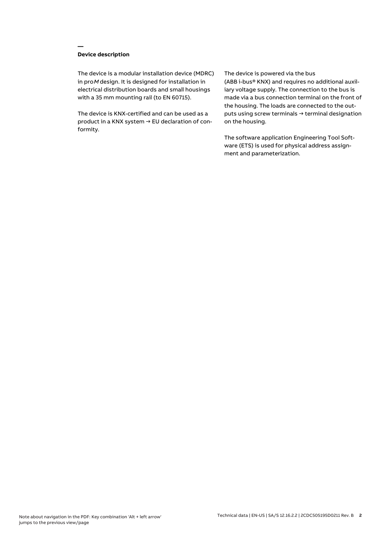## **Device description**

**—**

The device is a modular installation device (MDRC) in proM design. It is designed for installation in electrical distribution boards and small housings with a 35 mm mounting rail (to EN 60715).

The device is KNX-certified and can be used as a product in a KNX system → EU declaration of conformity.

#### The device is powered via the bus

(ABB i-bus® KNX) and requires no additional auxiliary voltage supply. The connection to the bus is made via a bus connection terminal on the front of the housing. The loads are connected to the outputs using screw terminals → terminal designation on the housing.

The software application Engineering Tool Software (ETS) is used for physical address assignment and parameterization.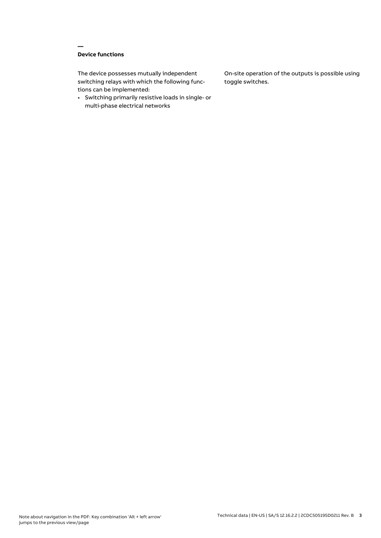# **Device functions**

**—**

The device possesses mutually independent switching relays with which the following functions can be implemented:

• Switching primarily resistive loads in single- or multi-phase electrical networks

On-site operation of the outputs is possible using toggle switches.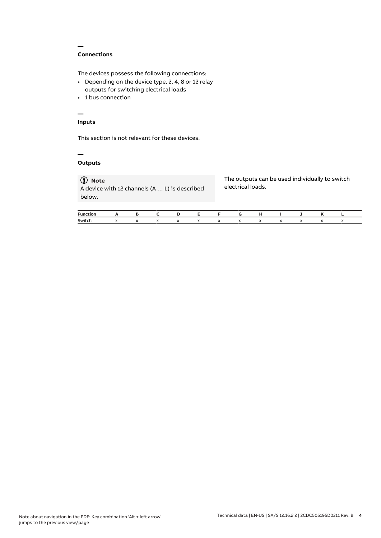## **Connections**

**—**

The devices possess the following connections:

- Depending on the device type, 2, 4, 8 or 12 relay outputs for switching electrical loads
- 1 bus connection

# **—**

# **Inputs**

This section is not relevant for these devices.

#### **— Outputs**

# **Note**

A device with 12 channels (A … L) is described below.

The outputs can be used individually to switch electrical loads.

| Function. |                                               |  | D | - E - |  |  |  |  |
|-----------|-----------------------------------------------|--|---|-------|--|--|--|--|
| Switch    | $\mathsf{x}$<br>$\mathbf{v}$ and $\mathbf{v}$ |  |   |       |  |  |  |  |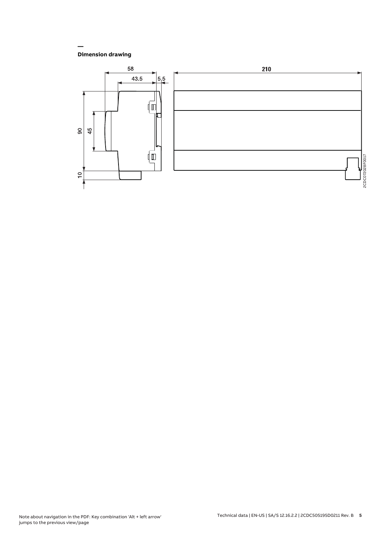## **Dimension drawing**

**—**

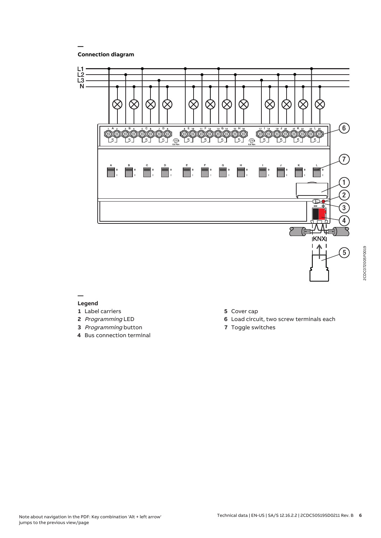**Connection diagram**

**—**



#### **— Legend**

- **1** Label carriers
- **2** Programming LED
- **3** Programming button
- **4** Bus connection terminal
- **5** Cover cap
- **6** Load circuit, two screw terminals each
- **7** Toggle switches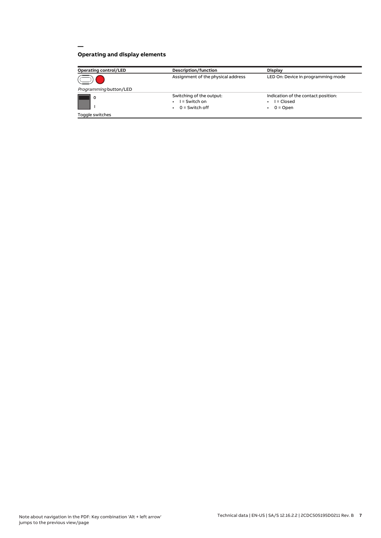# **Operating and display elements**

**—**

| <b>Operating control/LED</b> | Description/function                                            | <b>Display</b>                                                  |
|------------------------------|-----------------------------------------------------------------|-----------------------------------------------------------------|
|                              | Assignment of the physical address                              | LED On: Device in programming mode                              |
| Programming button/LED       |                                                                 |                                                                 |
| $\circ$                      | Switching of the output:<br>$I =$ Switch on<br>$0 =$ Switch off | Indication of the contact position:<br>I = Closed<br>$0 =$ Open |
| Toggle switches              |                                                                 |                                                                 |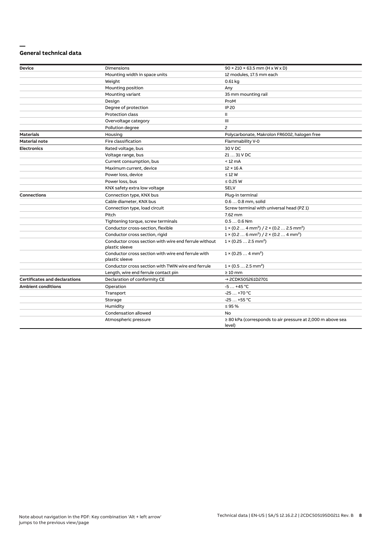#### **— General technical data**

| <b>Device</b>                        | Dimensions                                                              | $90 \times 210 \times 63.5$ mm (H x W x D)                                      |
|--------------------------------------|-------------------------------------------------------------------------|---------------------------------------------------------------------------------|
|                                      | Mounting width in space units                                           | 12 modules, 17.5 mm each                                                        |
|                                      | Weight                                                                  | $0.61$ kg                                                                       |
|                                      | Mounting position                                                       | Any                                                                             |
|                                      | Mounting variant                                                        | 35 mm mounting rail                                                             |
|                                      | Design                                                                  | ProM                                                                            |
|                                      | Degree of protection                                                    | <b>IP 20</b>                                                                    |
|                                      | Protection class                                                        | Ш                                                                               |
|                                      | Overvoltage category                                                    | Ш                                                                               |
|                                      | Pollution degree                                                        | 2                                                                               |
| <b>Materials</b>                     | Housing                                                                 | Polycarbonate, Makrolon FR6002, halogen free                                    |
| <b>Material note</b>                 | Fire classification                                                     | Flammability V-0                                                                |
| <b>Electronics</b>                   | Rated voltage, bus                                                      | 30 V DC                                                                         |
|                                      | Voltage range, bus                                                      | 21  31 V DC                                                                     |
|                                      | Current consumption, bus                                                | $< 12 \text{ mA}$                                                               |
|                                      | Maximum current, device                                                 | $12 \times 16$ A                                                                |
|                                      | Power loss, device                                                      | $\leq 12$ W                                                                     |
|                                      | Power loss, bus                                                         | $\leq$ 0.25 W                                                                   |
|                                      | KNX safety extra low voltage                                            | <b>SELV</b>                                                                     |
| <b>Connections</b>                   | Connection type, KNX bus                                                | Plug-in terminal                                                                |
|                                      | Cable diameter, KNX bus                                                 | 0.6  0.8 mm, solid                                                              |
|                                      | Connection type, load circuit                                           | Screw terminal with universal head (PZ 1)                                       |
|                                      | Pitch                                                                   | 7.62 mm                                                                         |
|                                      | Tightening torque, screw terminals                                      | $0.50.6$ Nm                                                                     |
|                                      | Conductor cross-section, flexible                                       | $1 \times (0.2 \ldots 4 \text{ mm}^2) / 2 \times (0.2 \ldots 2.5 \text{ mm}^2)$ |
|                                      | Conductor cross section, rigid                                          | $1 \times (0.2 \ldots 6 \text{ mm}^2) / 2 \times (0.2 \ldots 4 \text{ mm}^2)$   |
|                                      | Conductor cross section with wire end ferrule without<br>plastic sleeve | $1 \times (0.25 2.5 \text{ mm}^2)$                                              |
|                                      | Conductor cross section with wire end ferrule with<br>plastic sleeve    | $1 \times (0.254 \text{ mm}^2)$                                                 |
|                                      | Conductor cross section with TWIN wire end ferrule                      | $1 \times (0.52.5)$ mm <sup>2</sup> )                                           |
|                                      | Length, wire end ferrule contact pin                                    | $\geq 10$ mm                                                                    |
| <b>Certificates and declarations</b> | Declaration of conformity CE                                            | → 2CDK505261D2701                                                               |
| <b>Ambient conditions</b>            | Operation                                                               | $-5+45$ °C                                                                      |
|                                      | Transport                                                               | $-25+70 °C$                                                                     |
|                                      | Storage                                                                 | $-25+55$ °C                                                                     |
|                                      | Humidity                                                                | $\leq$ 95 %                                                                     |
|                                      | Condensation allowed                                                    | No                                                                              |
|                                      | Atmospheric pressure                                                    | $\geq$ 80 kPa (corresponds to air pressure at 2,000 m above sea<br>level)       |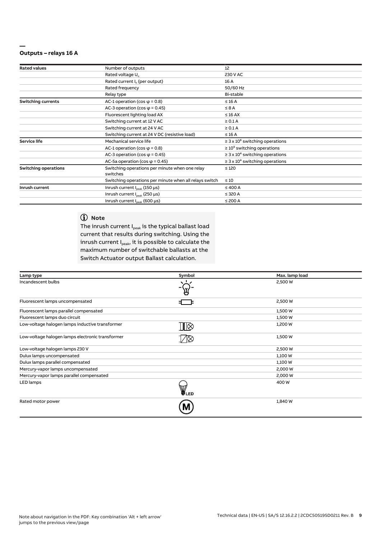#### **— Outputs – relays 16 A**

| <b>Rated values</b>         | Number of outputs                                      | 12                                              |
|-----------------------------|--------------------------------------------------------|-------------------------------------------------|
|                             | Rated voltage U <sub>n</sub>                           | 230 V AC                                        |
|                             | Rated current I <sub>n</sub> (per output)              | 16 A                                            |
|                             | Rated frequency                                        | 50/60 Hz                                        |
|                             | Relay type                                             | Bi-stable                                       |
| <b>Switching currents</b>   | AC-1 operation (cos $\varphi$ = 0.8)                   | $\leq 16$ A                                     |
|                             | AC-3 operation (cos $\varphi$ = 0.45)                  | $\leq 8$ A                                      |
|                             | Fluorescent lighting load AX                           | $\leq 16$ AX                                    |
|                             | Switching current at 12 V AC                           | $\geq 0.1$ A                                    |
|                             | Switching current at 24 V AC                           | $\geq 0.1$ A                                    |
|                             | Switching current at 24 V DC (resistive load)          | $\leq 16$ A                                     |
| <b>Service life</b>         | Mechanical service life                                | $\geq$ 3 x 10 <sup>6</sup> switching operations |
|                             | AC-1 operation (cos $\varphi$ = 0.8)                   | $\geq 10^5$ switching operations                |
|                             | AC-3 operation (cos $\varphi$ = 0.45)                  | $\geq$ 3 x 10 <sup>4</sup> switching operations |
|                             | AC-5a operation (cos $\varphi$ = 0.45)                 | $\geq$ 3 x 10 <sup>4</sup> switching operations |
| <b>Switching operations</b> | Switching operations per minute when one relay         | $\leq 120$                                      |
|                             | switches                                               |                                                 |
|                             | Switching operations per minute when all relays switch | $\leq 10$                                       |
| Inrush current              | Inrush current $I_{\text{peak}}$ (150 $\mu$ s)         | $\leq 400$ A                                    |
|                             | Inrush current I <sub>neak</sub> (250 µs)              | $\leq$ 320 A                                    |
|                             | Inrush current $I_{\text{peak}}$ (600 µs)              | $\leq$ 200 A                                    |

# **Note**

The inrush current  $I_{peak}$  is the typical ballast load current that results during switching. Using the inrush current  $I_{peak}$ , it is possible to calculate the maximum number of switchable ballasts at the Switch Actuator output Ballast calculation.

| Lamp type                                        | Symbol | Max. lamp load |
|--------------------------------------------------|--------|----------------|
| Incandescent bulbs                               |        | 2,500 W        |
| Fluorescent lamps uncompensated                  | 3 C    | 2,500 W        |
| Fluorescent lamps parallel compensated           |        | 1,500 W        |
| Fluorescent lamps duo circuit                    |        | 1,500 W        |
| Low-voltage halogen lamps inductive transformer  | ∏⊗     | 1,200 W        |
| Low-voltage halogen lamps electronic transformer |        | 1,500 W        |
| Low-voltage halogen lamps 230 V                  |        | 2,500 W        |
| Dulux lamps uncompensated                        |        | 1,100 W        |
| Dulux lamps parallel compensated                 |        | 1,100 W        |
| Mercury-vapor lamps uncompensated                |        | 2,000 W        |
| Mercury-vapor lamps parallel compensated         |        | 2,000 W        |
| LED lamps                                        | UED    | 400 W          |
| Rated motor power                                | Μ      | 1,840 W        |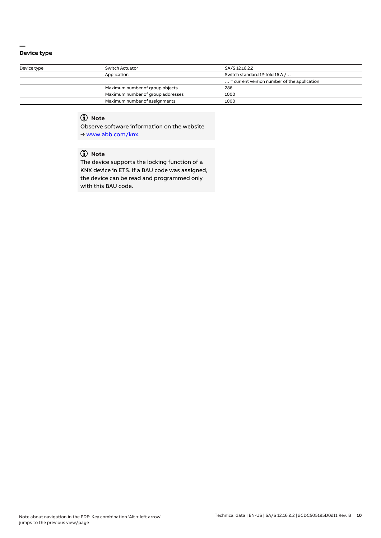#### **— Device type**

| Switch Actuator                   | SA/S 12.16.2.2                                       |
|-----------------------------------|------------------------------------------------------|
| Application                       | Switch standard 12-fold 16 A /                       |
|                                   | $\ldots$ = current version number of the application |
| Maximum number of group objects   | 286                                                  |
| Maximum number of group addresses | 1000                                                 |
| Maximum number of assignments     | 1000                                                 |
|                                   |                                                      |

# **Note**

Observe software information on the website → www.abb.com/knx.

# **Note**

The device supports the locking function of a KNX device in ETS. If a BAU code was assigned, the device can be read and programmed only with this BAU code.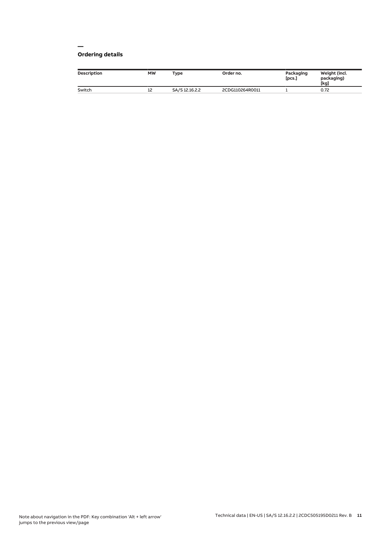#### **— Ordering details**

| <b>Description</b> | <b>MW</b> | Type           | Order no.       | Packaging<br>[pcs.] | Weight (incl.<br>packaging)<br>[kg] |
|--------------------|-----------|----------------|-----------------|---------------------|-------------------------------------|
| Switch             | ᅭ         | SA/S 12.16.2.2 | 2CDG110264R0011 |                     | 0.72                                |